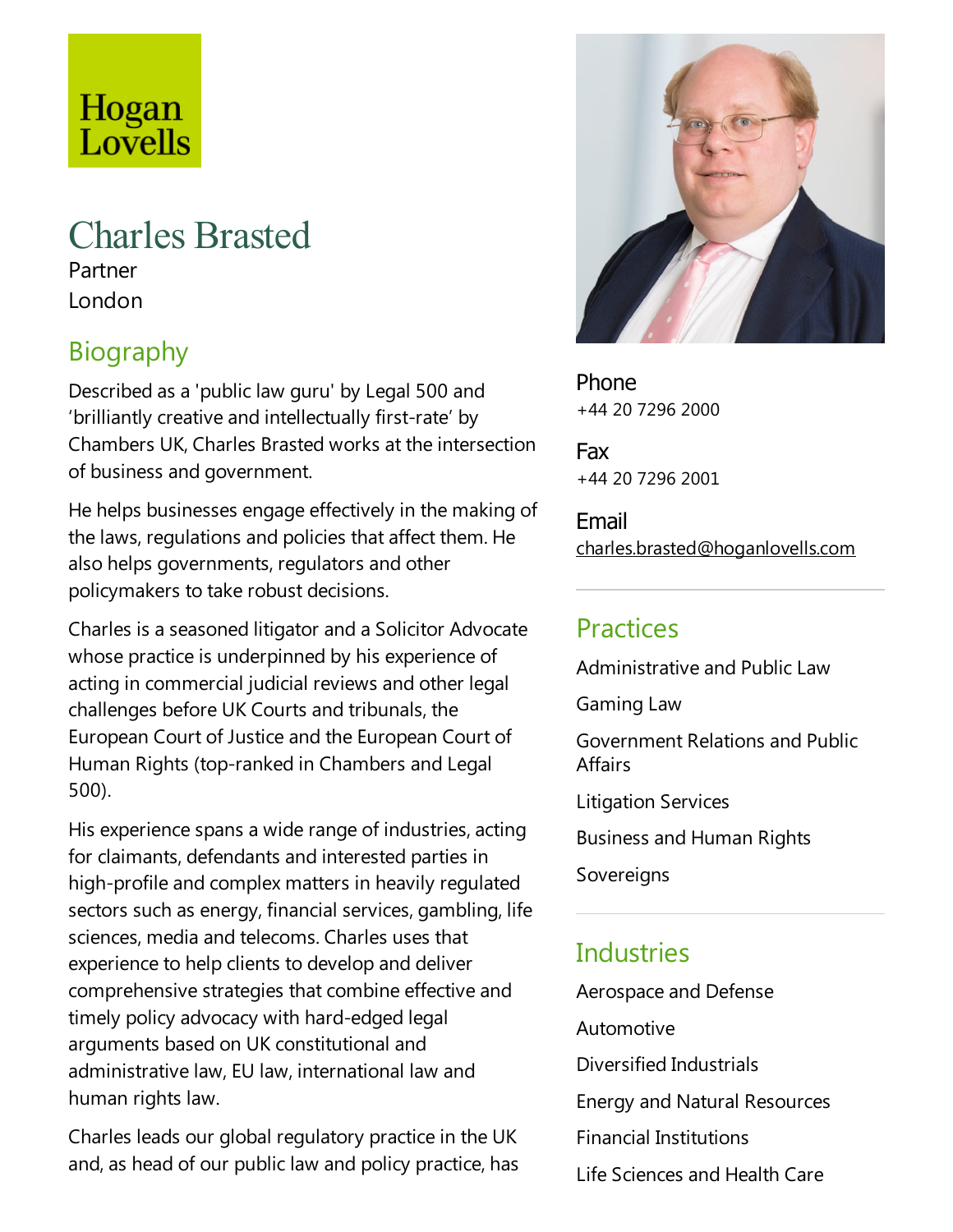# Hogan Lovells

## Charles Brasted

Partner London

## Biography

Described as a 'public law guru' by Legal 500 and 'brilliantly creative and intellectually first-rate' by Chambers UK, Charles Brasted works at the intersection of business and government.

He helps businesses engage effectively in the making of the laws, regulations and policies that affect them. He also helps governments, regulators and other policymakers to take robust decisions.

Charles is aseasoned litigator and a Solicitor Advocate whose practice is underpinned by his experience of acting in commercial judicial reviews and other legal challenges before UK Courts and tribunals, the European Court of Justice and the European Court of Human Rights (top-ranked in Chambers and Legal 500).

His experience spans a wide range of industries, acting for claimants, defendants and interested parties in high-profile and complex matters in heavily regulated sectors such as energy, financial services, gambling, life sciences, media and telecoms. Charles uses that experience to help clients to develop and deliver comprehensive strategies that combine effective and timely policy advocacy with hard-edged legal arguments based on UK constitutional and administrative law, EU law, international law and human rights law.

Charles leads our global regulatory practice in the UK and, as head of our public law and policy practice, has



Phone +44 20 7296 2000

Fax +44 20 7296 2001

Email charles.brasted@hoganlovells.com

#### **Practices**

Administrative and Public Law

Gaming Law

Government Relations and Public **Affairs** 

Litigation Services

Business and Human Rights

Sovereigns

### **Industries**

Aerospace and Defense Automotive Diversified Industrials Energy and Natural Resources Financial Institutions Life Sciences and Health Care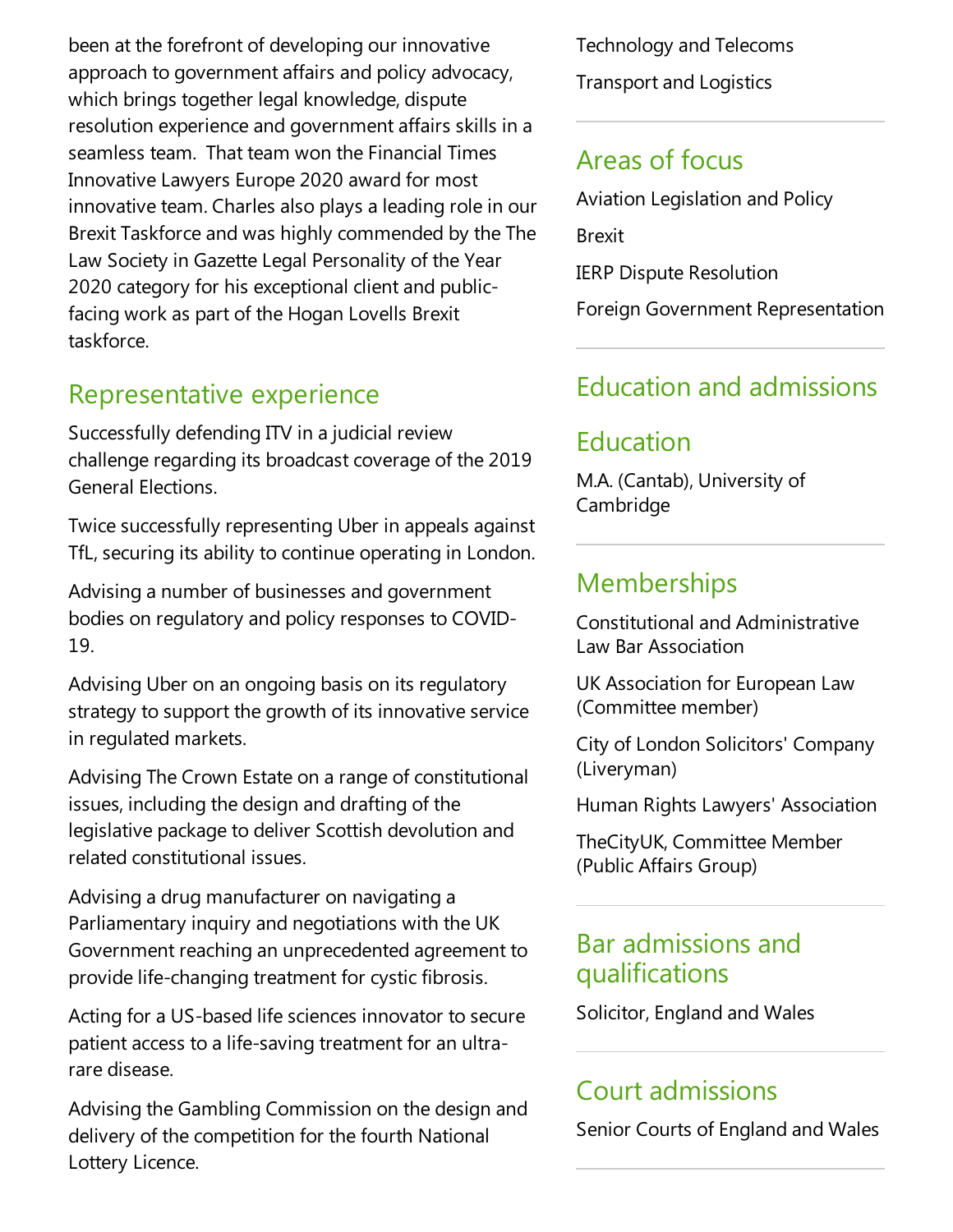been at the forefront of developing our innovative approach to government affairs and policy advocacy, which brings together legal knowledge, dispute resolution experience and government affairs skills in a seamless team. That team won the Financial Times Innovative Lawyers Europe 2020 award for most innovative team. Charles also plays a leading role in our Brexit Taskforce and was highly commended by the The Law Society in Gazette Legal Personality of the Year 2020 category for his exceptional client and publicfacing work as part of the Hogan Lovells Brexit taskforce.

#### Representative experience

Successfully defending ITV in a judicial review challenge regarding its broadcast coverage of the 2019 General Elections.

Twice successfully representing Uber in appeals against TfL, securing its ability to continue operating in London.

Advising a number of businesses and government bodies on regulatory and policy responses to COVID-19.

Advising Uber on an ongoing basis on its regulatory strategy to support the growth of its innovative service in regulated markets.

Advising The Crown Estate on arange of constitutional issues, including the design and drafting of the legislative package to deliver Scottish devolution and related constitutional issues.

Advising a drug manufacturer on navigating a Parliamentary inquiry and negotiations with the UK Government reaching an unprecedented agreement to provide life-changing treatment for cystic fibrosis.

Acting for a US-based life sciences innovator to secure patient access to a life-saving treatment for an ultrarare disease.

Advising the Gambling Commission on the design and delivery of the competition for the fourth National Lottery Licence.

Technology and Telecoms **Transport and Logistics** 

#### Areas of focus

Aviation Legislation and Policy Brexit IERP Dispute Resolution Foreign Government Representation

#### Education and admissions

## Education

M.A. (Cantab), University of Cambridge

#### **Memberships**

Constitutional and Administrative Law Bar Association

UK Association for European Law (Committee member)

City of London Solicitors' Company (Liveryman)

Human Rights Lawyers' Association

TheCityUK, Committee Member (Public Affairs Group)

#### Bar admissions and qualifications

Solicitor, England and Wales

### Court admissions

Senior Courts of England and Wales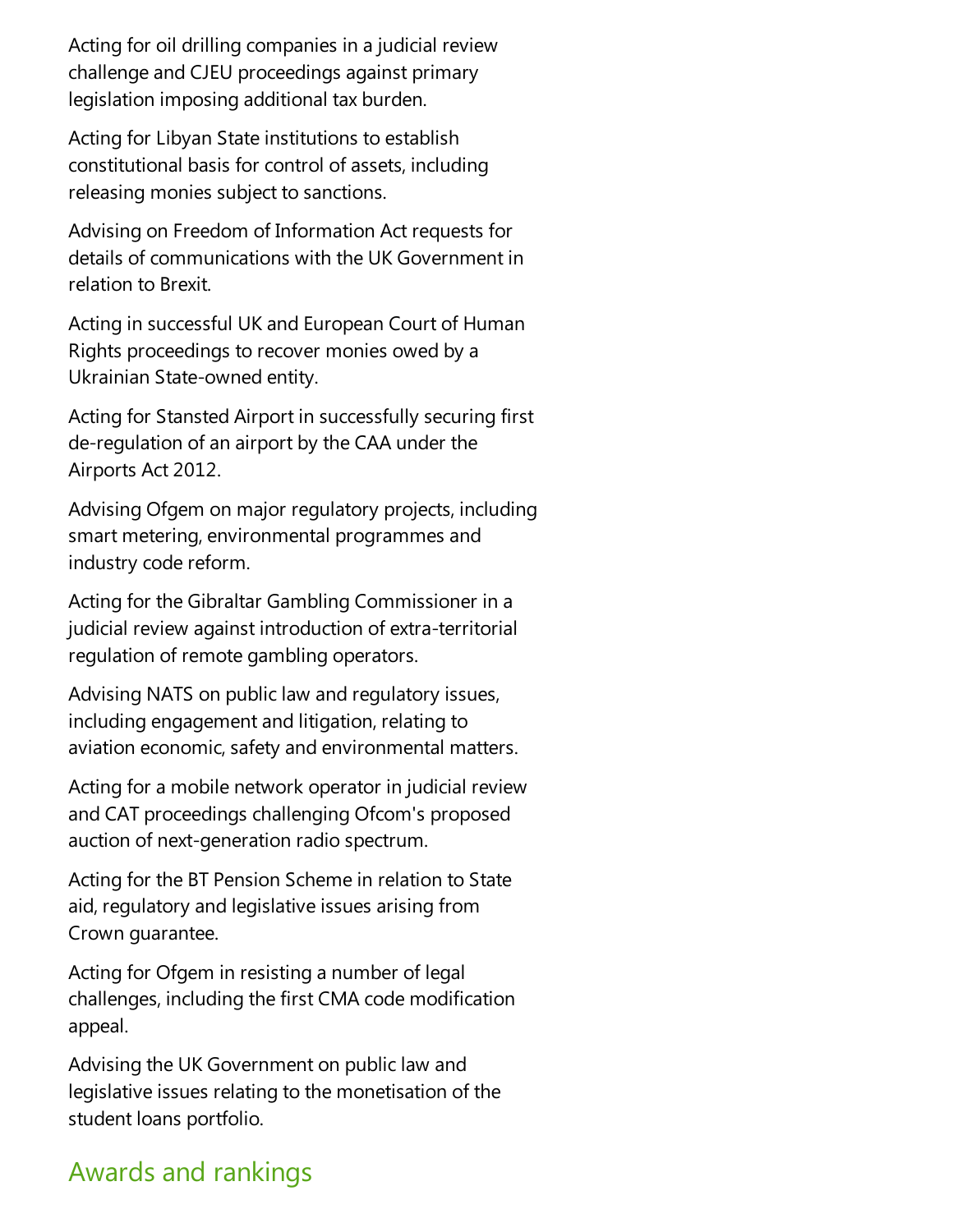Acting for oil drilling companies in a judicial review challenge and CJEU proceedings against primary legislation imposing additional tax burden.

Acting for Libyan State institutions to establish constitutional basis for control of assets, including releasing monies subject to sanctions.

Advising on Freedom of Information Act requests for details of communications with the UK Government in relation to Brexit.

Acting in successful UK and European Court of Human Rights proceedings to recover monies owed by a Ukrainian State-owned entity.

Acting for Stansted Airport in successfully securing first de-regulation of an airport by the CAA under the Airports Act 2012.

Advising Ofgem on major regulatory projects, including smart metering, environmental programmes and industry code reform.

Acting for the Gibraltar Gambling Commissioner in a judicial review against introduction of extra-territorial regulation of remote gambling operators.

Advising NATS on public law and regulatory issues, including engagement and litigation, relating to aviation economic, safety and environmental matters.

Acting for a mobile network operator in judicial review and CAT proceedings challenging Ofcom's proposed auction of next-generation radio spectrum.

Acting for the BT Pension Scheme in relation to State aid, regulatory and legislative issues arising from Crown guarantee.

Acting for Ofgem in resisting a number of legal challenges, including the first CMA code modification appeal.

Advising the UK Government on public law and legislative issues relating to the monetisation of the student loans portfolio.

## Awards and rankings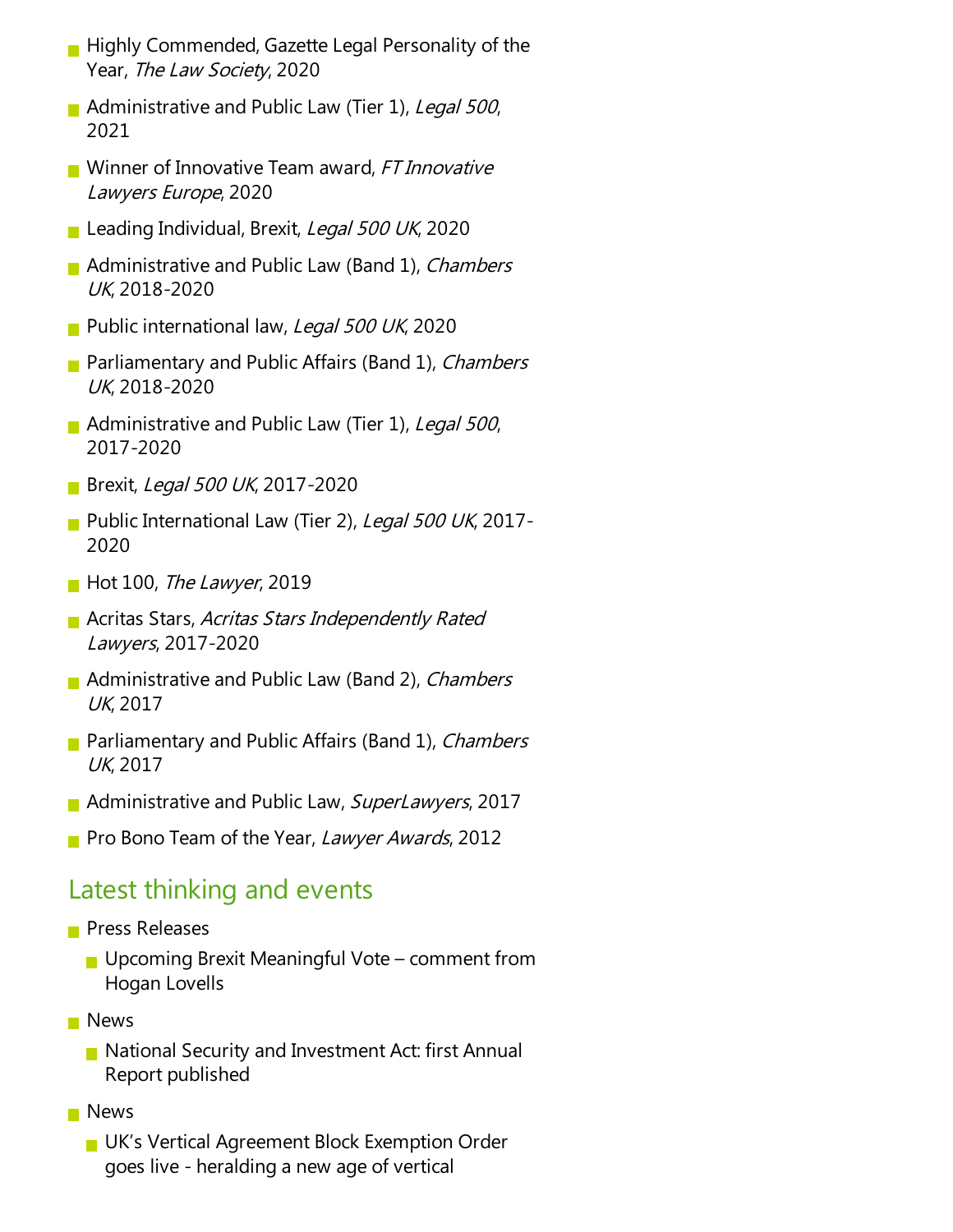- $\blacksquare$  Highly Commended, Gazette Legal Personality of the Year, The Law Society, 2020
- Administrative and Public Law (Tier 1), Legal 500, 2021
- Winner of Innovative Team award, FT Innovative Lawyers Europe, 2020
- Leading Individual, Brexit, Legal 500 UK, 2020
- **Administrative and Public Law (Band 1), Chambers** UK, 2018-2020
- Public international law, Legal 500 UK, 2020
- **Parliamentary and Public Affairs (Band 1), Chambers** UK, 2018-2020
- Administrative and Public Law (Tier 1), Legal 500, 2017-2020
- **Brexit, Legal 500 UK, 2017-2020**
- Public International Law (Tier 2), Legal 500 UK, 2017-2020
- $\blacksquare$  Hot 100, The Lawyer, 2019
- **Acritas Stars, Acritas Stars Independently Rated** Lawyers, 2017-2020
- **Administrative and Public Law (Band 2), Chambers** UK, 2017
- **Parliamentary and Public Affairs (Band 1), Chambers** UK, 2017
- **Administrative and Public Law, SuperLawyers, 2017**
- Pro Bono Team of the Year, Lawyer Awards, 2012

#### Latest thinking and events

- **Press Releases** 
	- Upcoming Brexit Meaningful Vote comment from Hogan Lovells
- **News** 
	- **National Security and Investment Act: first Annual** Report published
- **News** 
	- UK's Vertical Agreement Block Exemption Order goes live- heralding a new age of vertical